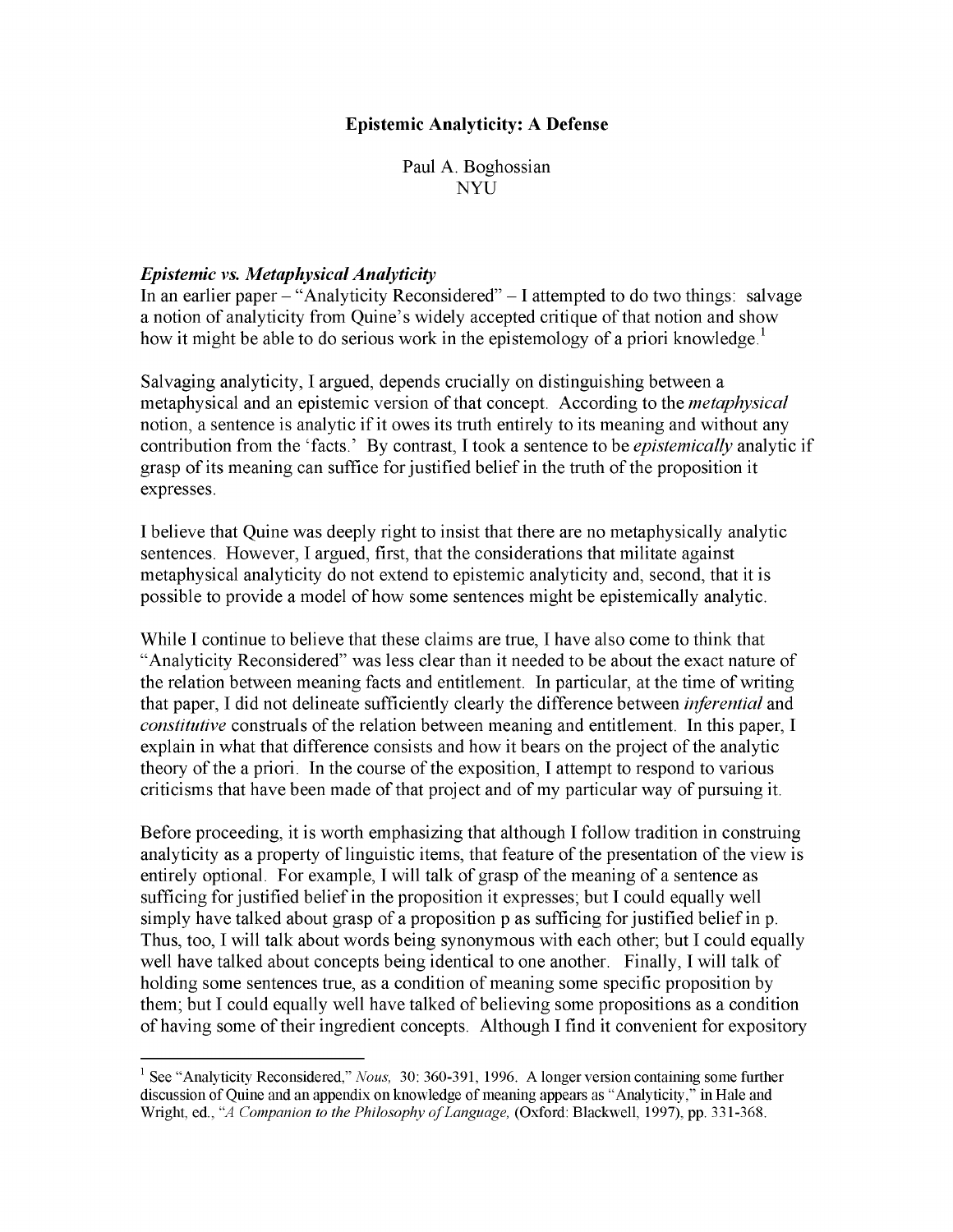#### **Epistemic Analyticity: A Defense**

Paul A. Boghossian NYU

#### *Epistemic vs. Metaphysical Analyticity*

In an earlier paper – "Analyticity Reconsidered" – I attempted to do two things: salvage a notion of analyticity from Quine's widely accepted critique of that notion and show how it might be able to do serious work in the epistemology of a priori knowledge.<sup>1</sup>

Salvaging analyticity, I argued, depends crucially on distinguishing between a metaphysical and an epistemic version of that concept. According to the *metaphysical* notion, a sentence is analytic if it owes its truth entirely to its meaning and without any contribution from the 'facts.' By contrast, I took a sentence to be *epistemically* analytic if grasp of its meaning can suffice for justified belief in the truth of the proposition it expresses.

I believe that Quine was deeply right to insist that there are no metaphysically analytic sentences. However, I argued, first, that the considerations that militate against metaphysical analyticity do not extend to epistemic analyticity and, second, that it is possible to provide a model of how some sentences might be epistemically analytic.

While I continue to believe that these claims are true, I have also come to think that "Analyticity Reconsidered" was less clear than it needed to be about the exact nature of the relation between meaning facts and entitlement. In particular, at the time of writing that paper, I did not delineate sufficiently clearly the difference between *inferential* and *constitutive* construals of the relation between meaning and entitlement. In this paper, I explain in what that difference consists and how it bears on the project of the analytic theory of the a priori. In the course of the exposition, I attempt to respond to various criticisms that have been made of that project and of my particular way of pursuing it.

Before proceeding, it is worth emphasizing that although I follow tradition in construing analyticity as a property of linguistic items, that feature of the presentation of the view is entirely optional. For example, I will talk of grasp of the meaning of a sentence as sufficing for justified belief in the proposition it expresses; but I could equally well simply have talked about grasp of a proposition p as sufficing for justified belief in p. Thus, too, I will talk about words being synonymous with each other; but I could equally well have talked about concepts being identical to one another. Finally, I will talk of holding some sentences true, as a condition of meaning some specific proposition by them; but I could equally well have talked of believing some propositions as a condition of having some of their ingredient concepts. Although I find it convenient for expository

<sup>&</sup>lt;sup>1</sup> See "Analyticity Reconsidered," *Nous,* 30: 360-391, 1996. A longer version containing some further discussion of Quine and an appendix on knowledge of meaning appears as "Analyticity," in Hale and Wright, ed., "*A Companion to the Philosophy of Language,* (Oxford: Blackwell, 1997), pp. 331-368.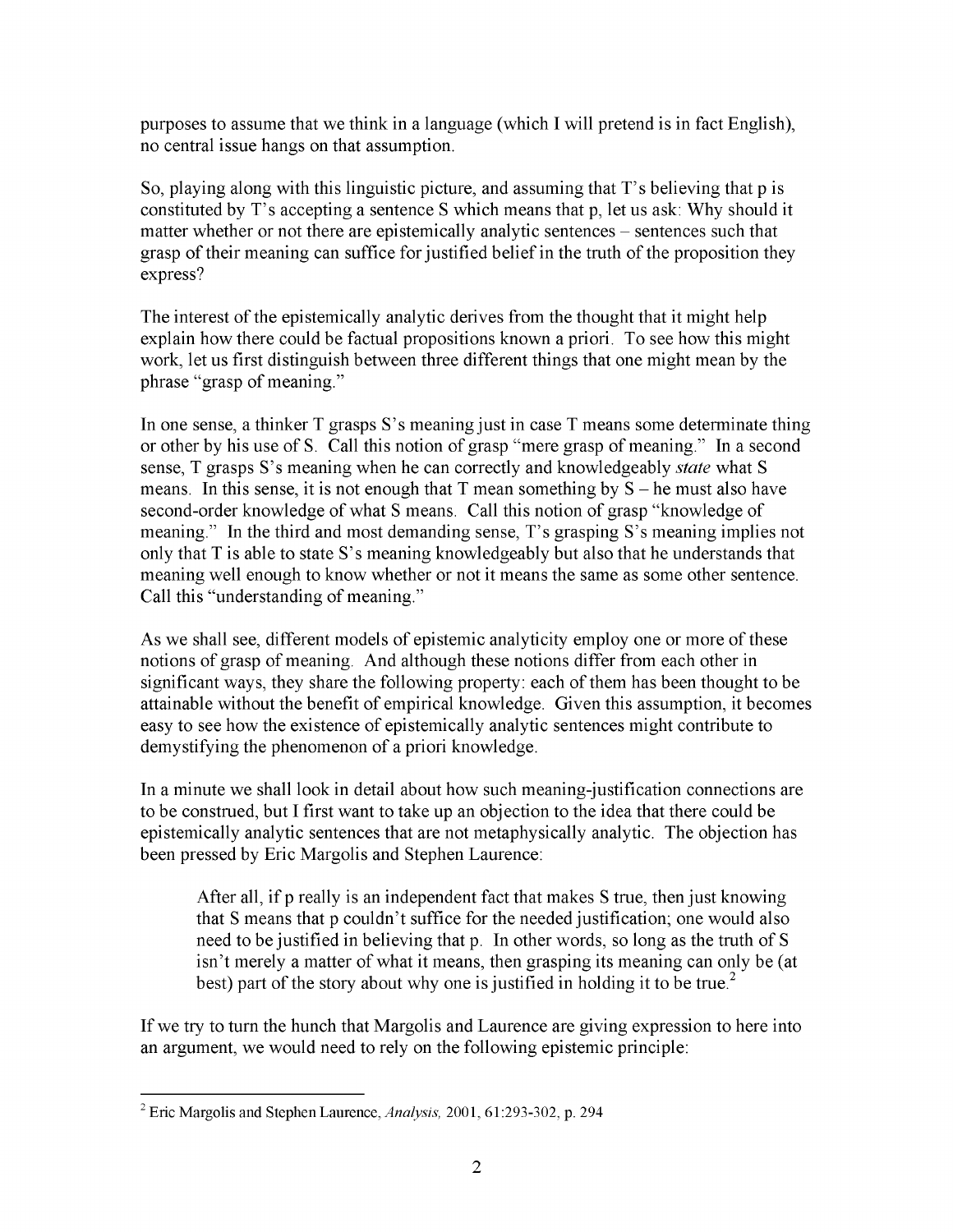purposes to assume that we think in a language (which I will pretend is in fact English), no central issue hangs on that assumption.

So, playing along with this linguistic picture, and assuming that T's believing that p is constituted by T's accepting a sentence S which means that p, let us ask: Why should it matter whether or not there are epistemically analytic sentences – sentences such that grasp of their meaning can suffice for justified belief in the truth of the proposition they express?

The interest of the epistemically analytic derives from the thought that it might help explain how there could be factual propositions known a priori. To see how this might work, let us first distinguish between three different things that one might mean by the phrase "grasp of meaning."

In one sense, a thinker T grasps S's meaning just in case T means some determinate thing or other by his use of S. Call this notion of grasp "mere grasp of meaning." In a second sense, T grasps S's meaning when he can correctly and knowledgeably *state* what S means. In this sense, it is not enough that  $T$  mean something by  $S$  – he must also have second-order knowledge of what S means. Call this notion of grasp "knowledge of meaning." In the third and most demanding sense, T's grasping S's meaning implies not only that T is able to state S's meaning knowledgeably but also that he understands that meaning well enough to know whether or not it means the same as some other sentence. Call this "understanding of meaning."

As we shall see, different models of epistemic analyticity employ one or more of these notions of grasp of meaning. And although these notions differ from each other in significant ways, they share the following property: each of them has been thought to be attainable without the benefit of empirical knowledge. Given this assumption, it becomes easy to see how the existence of epistemically analytic sentences might contribute to demystifying the phenomenon of a priori knowledge.

In a minute we shall look in detail about how such meaning-justification connections are to be construed, but I first want to take up an objection to the idea that there could be epistemically analytic sentences that are not metaphysically analytic. The objection has been pressed by Eric Margolis and Stephen Laurence:

After all, if p really is an independent fact that makes S true, then just knowing that S means that p couldn't suffice for the needed justification; one would also need to be justified in believing that p. In other words, so long as the truth of S isn't merely a matter of what it means, then grasping its meaning can only be (at best) part of the story about why one is justified in holding it to be true.<sup>2</sup>

If we try to turn the hunch that Margolis and Laurence are giving expression to here into an argument, we would need to rely on the following epistemic principle:

<sup>2</sup>Eric Margolis and Stephen Laurence, *Analysis,* 2001, 61:293-302, p. 294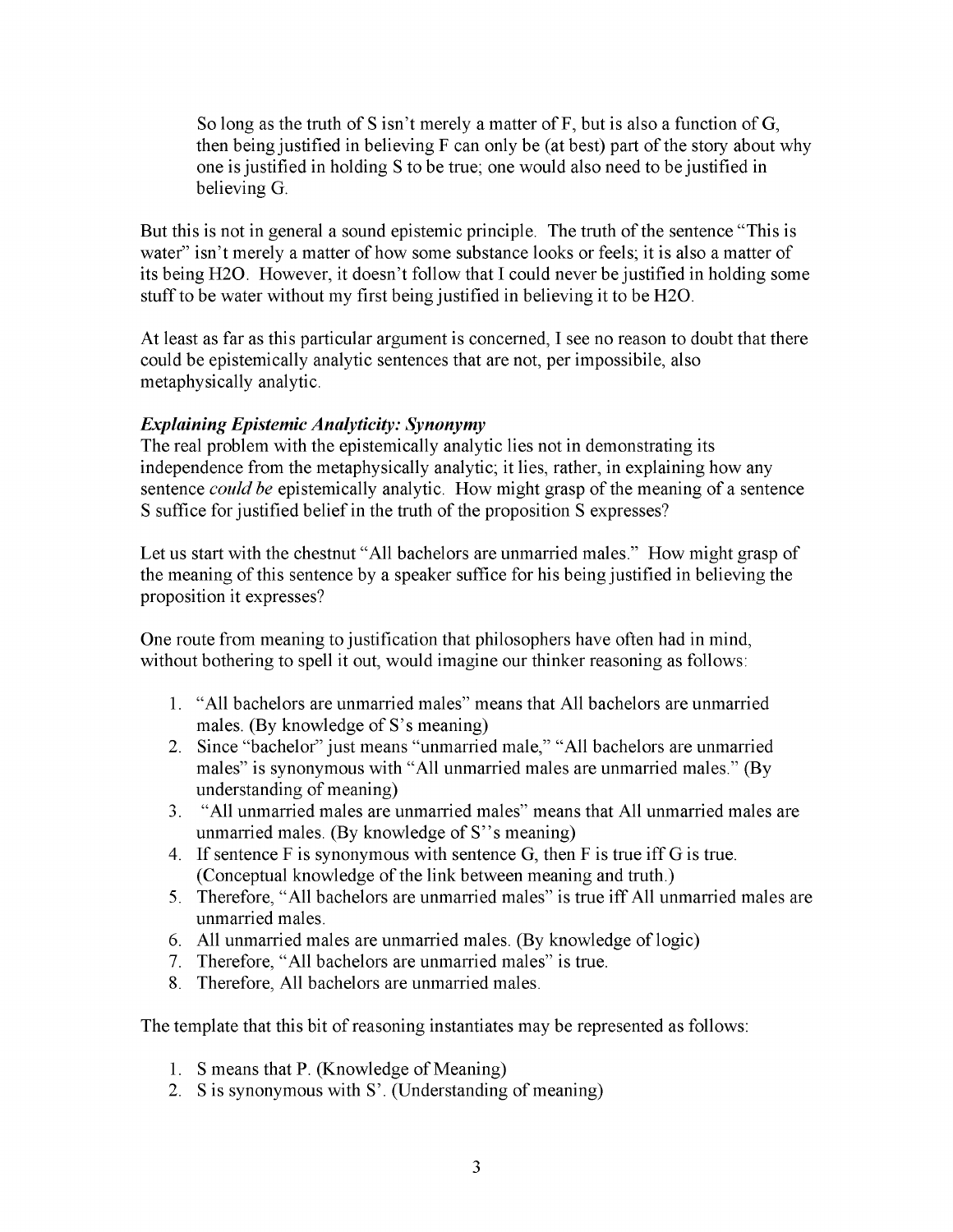So long as the truth of S isn't merely a matter of F, but is also a function of G, then being justified in believing F can only be (at best) part of the story about why one is justified in holding S to be true; one would also need to be justified in believing G.

But this is not in general a sound epistemic principle. The truth of the sentence "This is water" isn't merely a matter of how some substance looks or feels; it is also a matter of its being H2O. However, it doesn't follow that I could never be justified in holding some stuff to be water without my first being justified in believing it to be H2O.

At least as far as this particular argument is concerned, I see no reason to doubt that there could be epistemically analytic sentences that are not, per impossibile, also metaphysically analytic.

# *Explaining Epistemic Analyticity: Synonymy* Explaining Epistemic Analyticity:

Explanting Epistemic Analyticity. Synonymy<br>The real problem with the epistemically analytic lies not in demonstrating its independence from the metaphysically analytic; it lies, rather, in explaining how any sentence *could be* epistemically analytic. How might grasp of the meaning of a sentence S suffice for justified belief in the truth of the proposition S expresses? independence from the metaphysic  $\sigma$  sance for justified gener in the de

Let us start with the chestnut "All bachelors are unmarried males." How might grasp of the meaning of this sentence by a speaker suffice for his being justified in believing the proposition it expresses? Let us start with the chestnut "A

One route from meaning to justification that philosophers have often had in mind, without bothering to spell it out, would imagine our thinker reasoning as follows:

- 1. "All bachelors are unmarried males" means that All bachelors are unmarried males. (By knowledge of S's meaning)
- 2. Since "bachelor" just means "unmarried male," "All bachelors are unmarried males" is synonymous with "All unmarried males are unmarried males." (By understanding of meaning)
- 3. "All unmarried males are unmarried males" means that All unmarried males are unmarried males. (By knowledge of S''s meaning)
- 4. If sentence F is synonymous with sentence G, then F is true iff G is true. (Conceptual knowledge of the link between meaning and truth.)
- 5. Therefore, "All bachelors are unmarried males" is true iff All unmarried males are unmarried males.
- 6. All unmarried males are unmarried males. (By knowledge of logic)
- 7. Therefore, "All bachelors are unmarried males" is true.
- 8. Therefore, All bachelors are unmarried males.

The template that this bit of reasoning instantiates may be represented as follows:

- 1. S means that P. (Knowledge of Meaning)
- 2. S is synonymous with S'. (Understanding of meaning)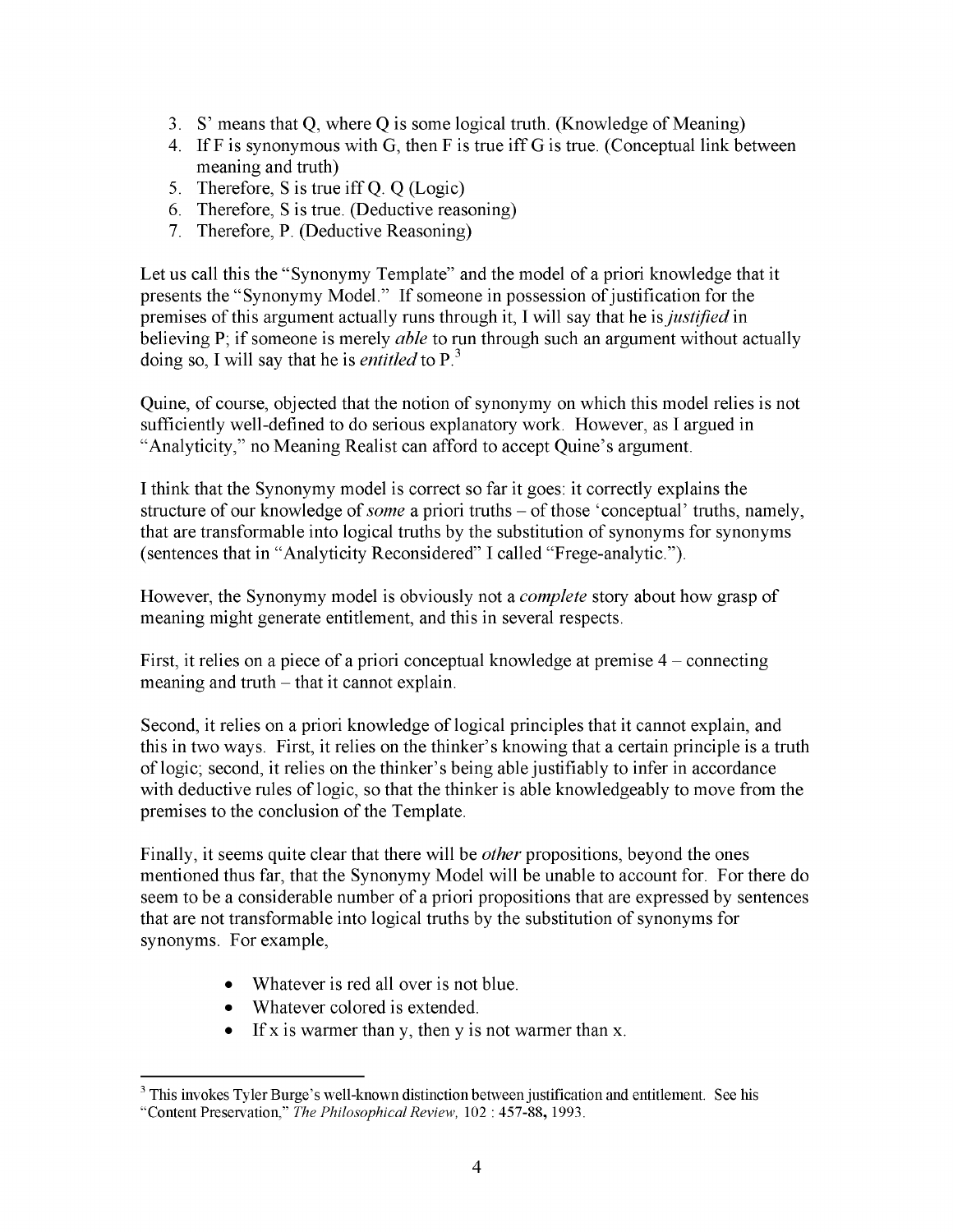- 3. S' means that Q, where Q is some logical truth. (Knowledge of Meaning)
- 4. If F is synonymous with G, then F is true iff G is true. (Conceptual link between meaning and truth)
- 5. Therefore, S is true iff Q. Q (Logic)
- 6. Therefore, S is true. (Deductive reasoning)
- 7. Therefore, P. (Deductive Reasoning)

Let us call this the "Synonymy Template" and the model of a priori knowledge that it presents the "Synonymy Model." If someone in possession of justification for the premises of this argument actually runs through it, I will say that he is *justified* in believing P; if someone is merely *able* to run through such an argument without actually doing so, I will say that he is *entitled* to P.<sup>3</sup>

Quine, of course, objected that the notion of synonymy on which this model relies is not sufficiently well-defined to do serious explanatory work. However, as I argued in "Analyticity," no Meaning Realist can afford to accept Quine's argument.

I think that the Synonymy model is correct so far it goes: it correctly explains the structure of our knowledge of *some* <sup>a</sup> priori truths - of those 'conceptual' truths, namely, that are transformable into logical truths by the substitution of synonyms for synonyms (sentences that in "Analyticity Reconsidered" I called "Frege-analytic.").

However, the Synonymy model is obviously not a *complete* story about how grasp of meaning might generate entitlement, and this in several respects.

First, it relies on a piece of a priori conceptual knowledge at premise 4 – connecting meaning and truth  $-$  that it cannot explain.

Second, it relies on a priori knowledge of logical principles that it cannot explain, and this in two ways. First, it relies on the thinker's knowing that a certain principle is a truth of logic; second, it relies on the thinker's being able justifiably to infer in accordance with deductive rules of logic, so that the thinker is able knowledgeably to move from the premises to the conclusion of the Template.

Finally, it seems quite clear that there will be *other* propositions, beyond the ones mentioned thus far, that the Synonymy Model will be unable to account for. For there do seem to be a considerable number of a priori propositions that are expressed by sentences that are not transformable into logical truths by the substitution of synonyms for synonyms. For example,

- Whatever is red all over is not blue.
- Whatever colored is extended.
- If x is warmer than y, then y is not warmer than  $x$ .

 $3$  This invokes Tyler Burge's well-known distinction between justification and entitlement. See his "Content Preservation," *The Philosophical Review,* 102 : 457-88**,** 1993.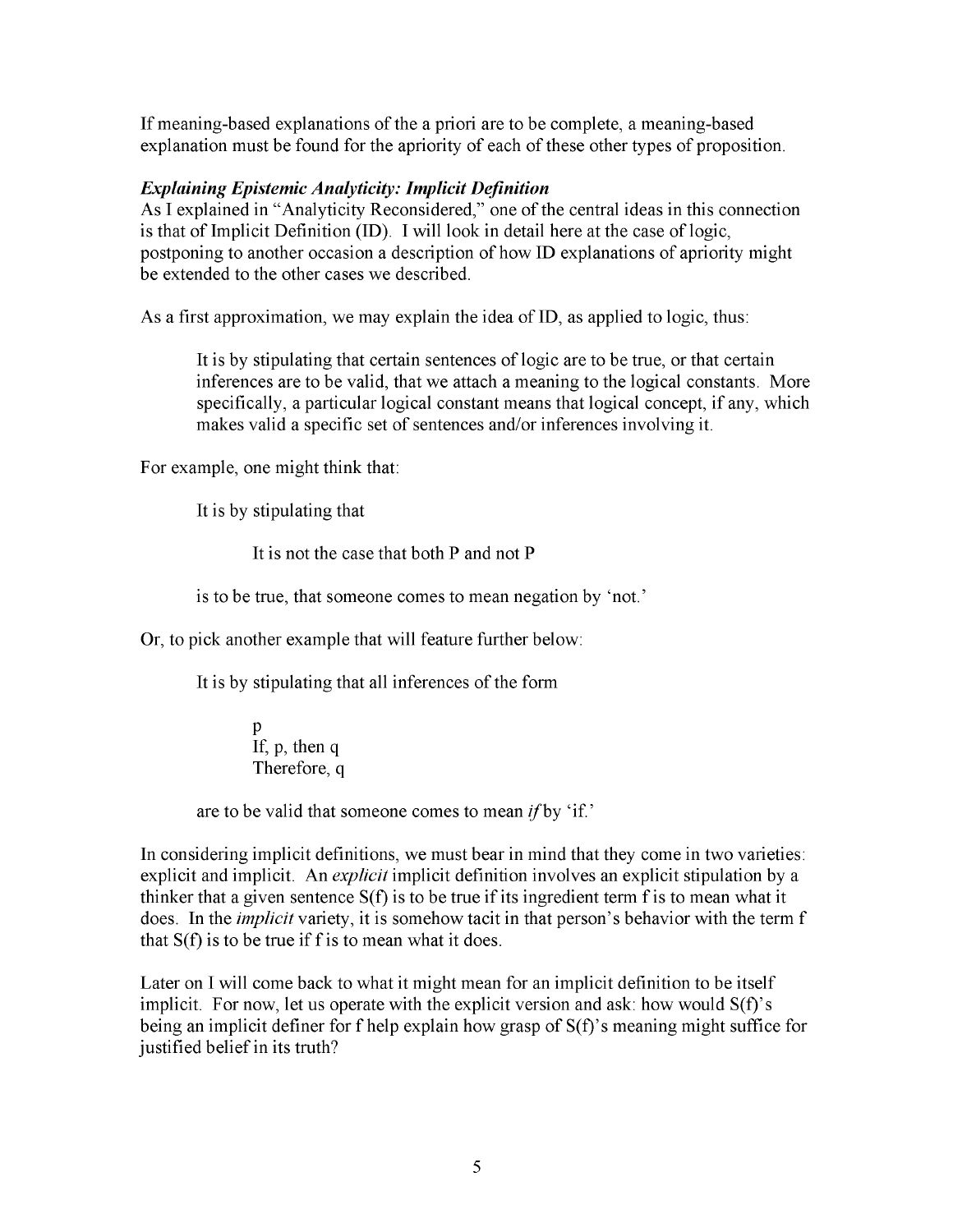If meaning-based explanations of the a priori are to be complete, a meaning-based explanation must be found for the apriority of each of these other types of proposition.

#### *Explaining Epistemic Analyticity:Implicit Definition* Explaining Epistemic Analyticity: Explaining *D*

As I explained in "Analyticity Reconsidered," one of the central ideas in this connection is that of Implicit Definition (ID). I will look in detail here at the case of logic, postponing to another occasion a description of how ID explanations of apriority might be extended to the other cases we described. postponing to another occasion

As a first approximation, we may explain the idea of ID, as applied to logic, thus: As a first approximation, we

It is by stipulating that certain sentences of logic are to be true, or that certain inferences are to be valid, that we attach a meaning to the logical constants. More specifically, a particular logical constant means that logical concept, if any, which makes valid a specific set of sentences and/or inferences involving it.

For example, one might think that:

It is by stipulating that

It is not the case that both P and not P

is to be true, that someone comes to mean negation by 'not.'

Or, to pick another example that will feature further below:

It is by stipulating that all inferences of the form

p If, p, then q Therefore, q

are to be valid that someone comes to mean *if* by 'if.'

In considering implicit definitions, we must bear in mind that they come in two varieties: explicit and implicit. An *explicit* implicit definition involves an explicit stipulation by a thinker that a given sentence  $S(f)$  is to be true if its ingredient term f is to mean what it does. In the *implicit* variety, it is somehow tacit in that person's behavior with the term f that S(f) is to be true if f is to mean what it does.

Later on I will come back to what it might mean for an implicit definition to be itself implicit. For now, let us operate with the explicit version and ask: how would S(f)'s being an implicit definer for f help explain how grasp of S(f)'s meaning might suffice for justified belief in its truth?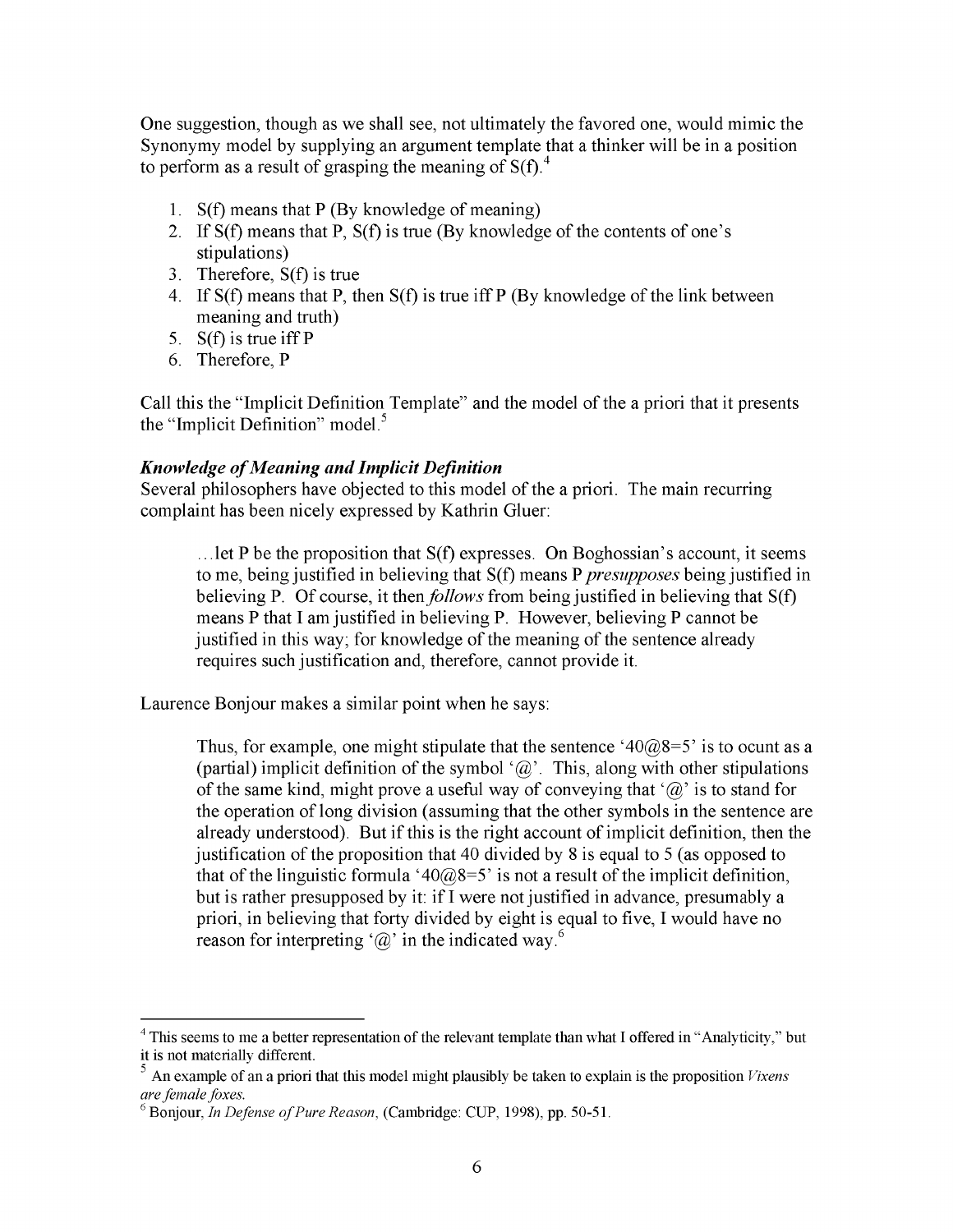One suggestion, though as we shall see, not ultimately the favored one, would mimic the Synonymy model by supplying an argument template that a thinker will be in a position to perform as a result of grasping the meaning of  $S(f)$ .<sup>4</sup>

- 1. S(f) means that P (By knowledge of meaning)
- 2. If S(f) means that P, S(f) is true (By knowledge of the contents of one's stipulations)
- 3. Therefore, S(f) is true
- 4. If S(f) means that P, then S(f) is true iff P (By knowledge of the link between meaning and truth)
- 5. S(f) is true iff P
- 6. Therefore, P

Call this the "Implicit Definition Template" and the model of the a priori that it presents the "Implicit Definition" model. $5$ 

# *Knowledge of Meaning and Implicit Definition* Knowledge of Meaning and Implicit

**Several philosophers have objected to this model of the a priori.** The main recurring Several philosophers have objected to this model of the a priori. The main recurring complaint has been nicely expressed by Kathrin Gluer: complaint has been meety expre

...let P be the proposition that  $S(f)$  expresses. On Boghossian's account, it seems to me, being justified in believing that S(f) means P *presupposes* being justified in believing P. Of course, it then *follows* from being justified in believing that S(f) means P that I am justified in believing P. However, believing P cannot be justified in this way; for knowledge of the meaning of the sentence already requires such justification and, therefore, cannot provide it.

Laurence Bonjour makes a similar point when he says:

Thus, for example, one might stipulate that the sentence ' $40@8=5$ ' is to ocunt as a (partial) implicit definition of the symbol  $\hat{a}$ . This, along with other stipulations of the same kind, might prove a useful way of conveying that ' $\omega$ ' is to stand for the operation of long division (assuming that the other symbols in the sentence are already understood). But if this is the right account of implicit definition, then the justification of the proposition that 40 divided by 8 is equal to 5 (as opposed to that of the linguistic formula '40 $@8=5$ ' is not a result of the implicit definition, but is rather presupposed by it: if I were not justified in advance, presumably a priori, in believing that forty divided by eight is equal to five, I would have no reason for interpreting ' $\omega$ ' in the indicated way.<sup>6</sup>

<sup>&</sup>lt;sup>4</sup> This seems to me a better representation of the relevant template than what I offered in "Analyticity," but it is not materially different.

<sup>5</sup> An example of an a priori that this model might plausibly be taken to explain is the proposition *Vixens are female foxes.*

<sup>6</sup> Bonjour, *In Defense of Pure Reason*, (Cambridge: CUP, 1998), pp. 50-51.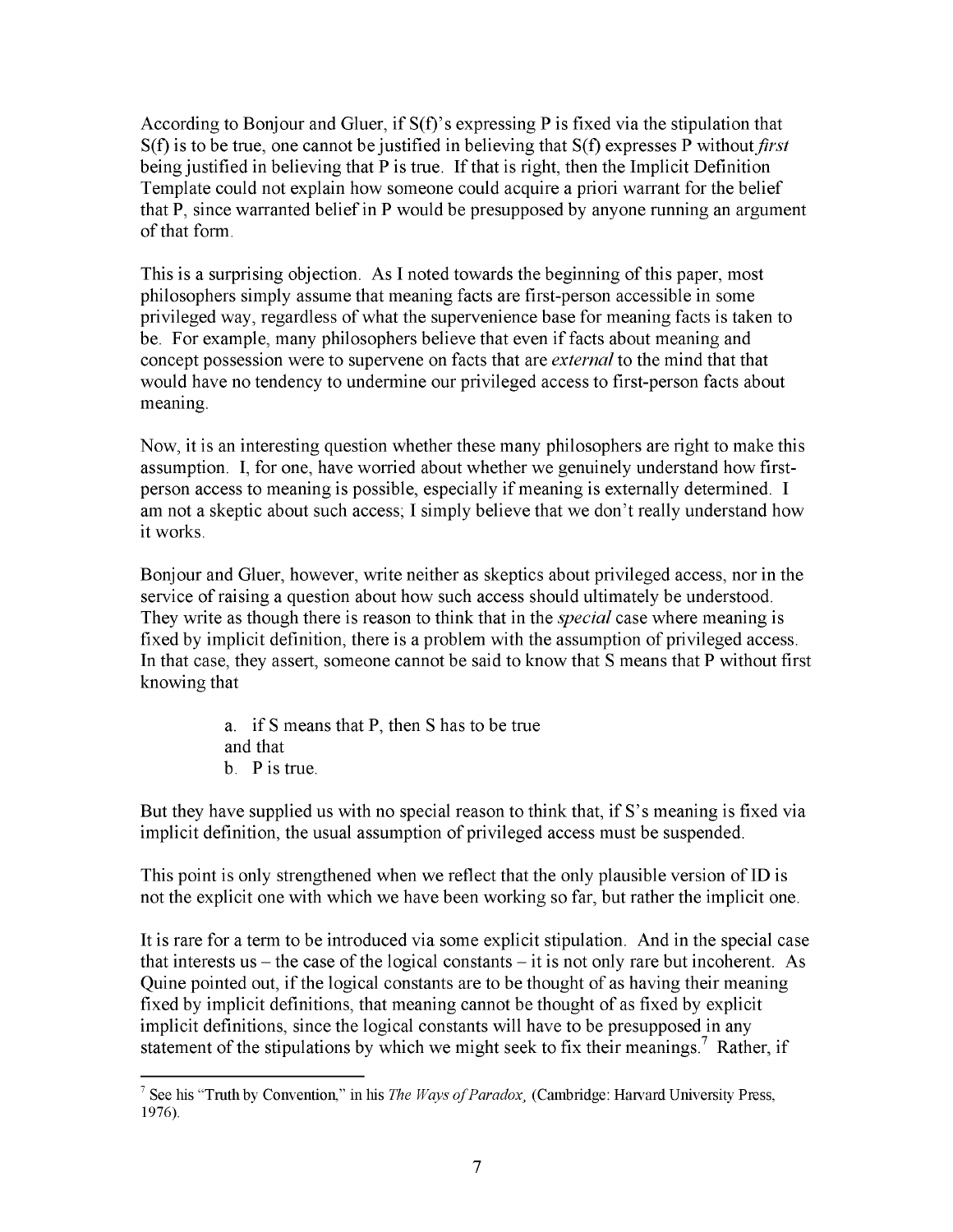According to Bonjour and Gluer, if  $S(f)$ 's expressing P is fixed via the stipulation that S(f) is to be true, one cannot be justified in believing that S(f) expresses P without *first* being justified in believing that P is true. If that is right, then the Implicit Definition Template could not explain how someone could acquire a priori warrant for the belief that P, since warranted belief in P would be presupposed by anyone running an argument of that form.

This is a surprising objection. As I noted towards the beginning of this paper, most philosophers simply assume that meaning facts are first-person accessible in some privileged way, regardless of what the supervenience base for meaning facts is taken to be. For example, many philosophers believe that even if facts about meaning and concept possession were to supervene on facts that are *external* to the mind that that would have no tendency to undermine our privileged access to first-person facts about meaning.

Now, it is an interesting question whether these many philosophers are right to make this assumption. I, for one, have worried about whether we genuinely understand how firstperson access to meaning is possible, especially if meaning is externally determined. I am not a skeptic about such access; I simply believe that we don't really understand how it works.

Bonjour and Gluer, however, write neither as skeptics about privileged access, nor in the service of raising a question about how such access should ultimately be understood. They write as though there is reason to think that in the *special* case where meaning is fixed by implicit definition, there is a problem with the assumption of privileged access. In that case, they assert, someone cannot be said to know that S means that P without first knowing that

> a. if S means that P, then S has to be true and that b. P is true.

But they have supplied us with no special reason to think that, if S's meaning is fixed via implicit definition, the usual assumption of privileged access must be suspended.

This point is only strengthened when we reflect that the only plausible version of ID is not the explicit one with which we have been working so far, but rather the implicit one.

It is rare for a term to be introduced via some explicit stipulation. And in the special case that interests us – the case of the logical constants – it is not only rare but incoherent. As Quine pointed out, if the logical constants are to be thought of as having their meaning fixed by implicit definitions, that meaning cannot be thought of as fixed by explicit implicit definitions, since the logical constants will have to be presupposed in any statement of the stipulations by which we might seek to fix their meanings.<sup>7</sup> Rather, if

<sup>7</sup> See his "Truth by Convention," in his *The Ways ofParadox,* (Cambridge: Harvard University Press, 1976).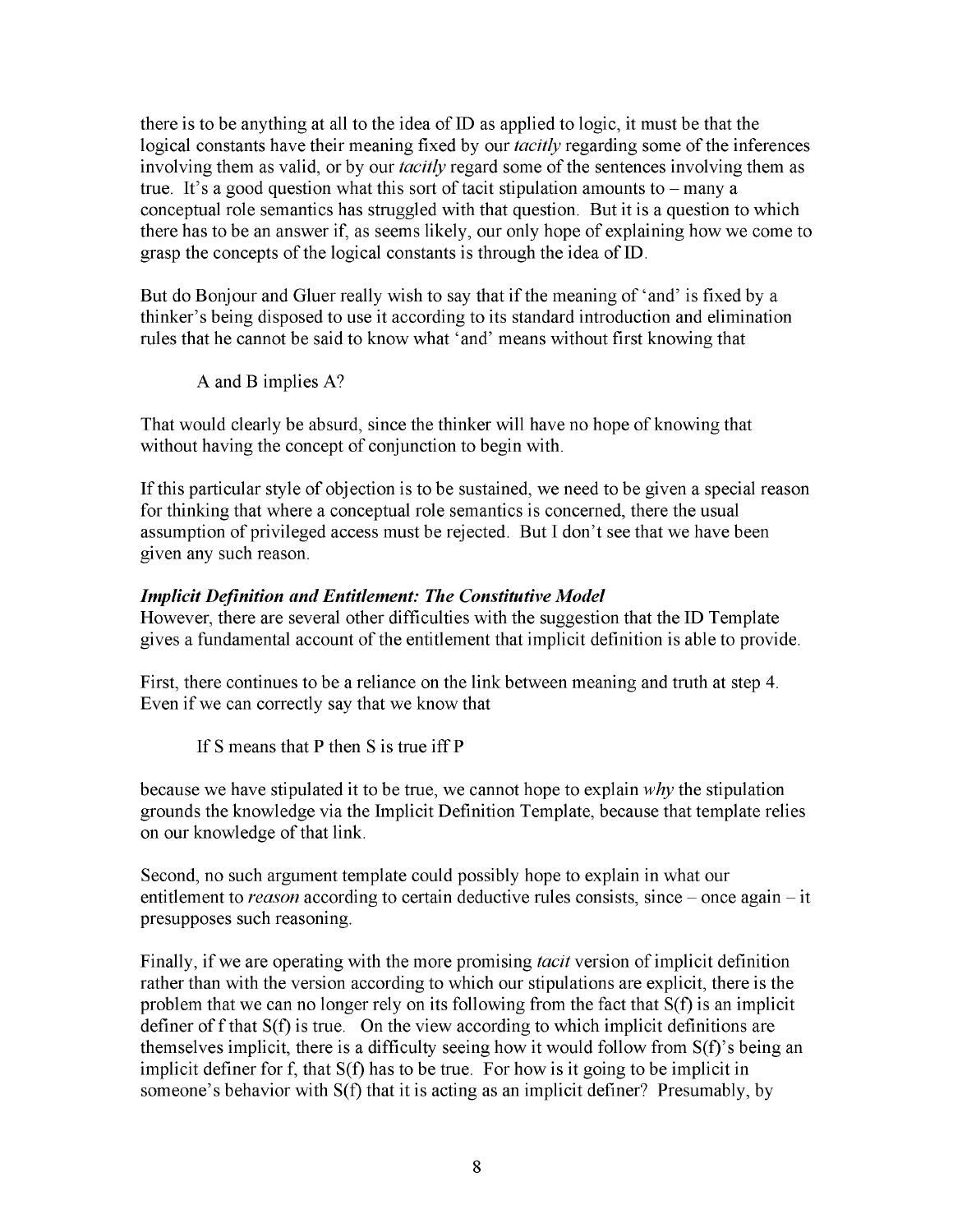there is to be anything at all to the idea of ID as applied to logic, it must be that the logical constants have their meaning fixed by our *tacitly* regarding some of the inferences involving them as valid, or by our *tacitly* regard some of the sentences involving them as true. It's a good question what this sort of tacit stipulation amounts to  $-$  many a conceptual role semantics has struggled with that question. But it is a question to which there has to be an answer if, as seems likely, our only hope of explaining how we come to grasp the concepts of the logical constants is through the idea of ID.

But do Bonjour and Gluer really wish to say that if the meaning of 'and' is fixed by a thinker's being disposed to use it according to its standard introduction and elimination rules that he cannot be said to know what 'and' means without first knowing that

A and B implies A?

That would clearly be absurd, since the thinker will have no hope of knowing that without having the concept of conjunction to begin with.

If this particular style of objection is to be sustained, we need to be given a special reason for thinking that where a conceptual role semantics is concerned, there the usual assumption of privileged access must be rejected. But I don't see that we have been given any such reason.

## *Implicit Definition and Entitlement: The Constitutive Model* Implicit Definition and Entitlement: The

However, there are several other difficulties with the suggestion that the ID Template However, there are several other difficulties with the suggestion that the ID Template gives a fundamental account of the entitlement that implicit definition is able to provide. gives a fundamental account of t

First, there continues to be a reliance on the link between meaning and truth at step 4. Even if we can correctly say that we know that

If S means that P then S is true iff P

because we have stipulated it to be true, we cannot hope to explain *why* the stipulation grounds the knowledge via the Implicit Definition Template, because that template relies on our knowledge of that link.

Second, no such argument template could possibly hope to explain in what our entitlement to *reason* according to certain deductive rules consists, since – once again – it presupposes such reasoning.

Finally, if we are operating with the more promising *tacit* version of implicit definition rather than with the version according to which our stipulations are explicit, there is the problem that we can no longer rely on its following from the fact that S(f) is an implicit definer of f that S(f) is true. On the view according to which implicit definitions are themselves implicit, there is a difficulty seeing how it would follow from S(f)'s being an implicit definer for f, that S(f) has to be true. For how is it going to be implicit in someone's behavior with S(f) that it is acting as an implicit definer? Presumably, by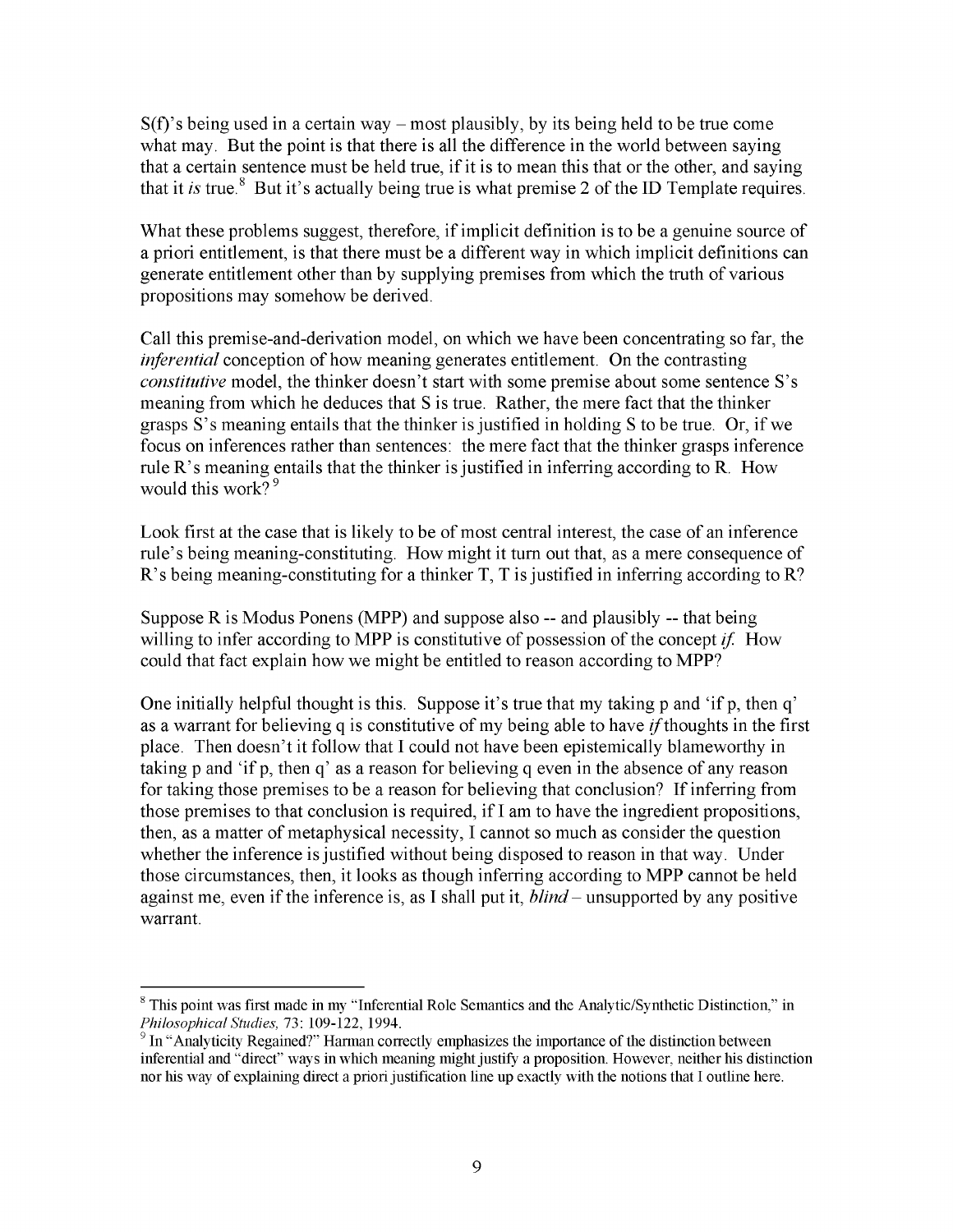$S(f)$ 's being used in a certain way – most plausibly, by its being held to be true come what may. But the point is that there is all the difference in the world between saying that a certain sentence must be held true, if it is to mean this that or the other, and saying that it *is* true.<sup>8</sup> But it's actually being true is what premise 2 of the ID Template requires.

What these problems suggest, therefore, if implicit definition is to be a genuine source of a priori entitlement, is that there must be a different way in which implicit definitions can generate entitlement other than by supplying premises from which the truth of various propositions may somehow be derived.

Call this premise-and-derivation model, on which we have been concentrating so far, the *inferential* conception of how meaning generates entitlement. On the contrasting *constitutive* model, the thinker doesn't start with some premise about some sentence S's meaning from which he deduces that S is true. Rather, the mere fact that the thinker grasps S's meaning entails that the thinker is justified in holding S to be true. Or, if we focus on inferences rather than sentences: the mere fact that the thinker grasps inference rule R's meaning entails that the thinker is justified in inferring according to R. How would this work?  $9^9$ 

Look first at the case that is likely to be of most central interest, the case of an inference rule's being meaning-constituting. How might it turn out that, as a mere consequence of R's being meaning-constituting for a thinker T, T is justified in inferring according to R?

Suppose R is Modus Ponens (MPP) and suppose also -- and plausibly -- that being willing to infer according to MPP is constitutive of possession of the concept *if.* How could that fact explain how we might be entitled to reason according to MPP?

One initially helpful thought is this. Suppose it's true that my taking p and 'if p, then q' as a warrant for believing q is constitutive of my being able to have *if* thoughts in the first place. Then doesn't it follow that I could not have been epistemically blameworthy in taking p and 'if p, then q' as a reason for believing q even in the absence of any reason for taking those premises to be a reason for believing that conclusion? If inferring from those premises to that conclusion is required, if I am to have the ingredient propositions, then, as a matter of metaphysical necessity, I cannot so much as consider the question whether the inference is justified without being disposed to reason in that way. Under those circumstances, then, it looks as though inferring according to MPP cannot be held against me, even if the inference is, as I shall put it, *blind* – unsupported by any positive warrant.

<sup>8</sup> This point was first made in my "Inferential Role Semantics and the Analytic/Synthetic Distinction," in *Philosophical Studies,* 73: 109-122, 1994.

 $9 \text{ In }$  "Analyticity Regained?" Harman correctly emphasizes the importance of the distinction between inferential and "direct" ways in which meaning might justify a proposition. However, neither his distinction nor his way of explaining direct a priori justification line up exactly with the notionsthat I outline here.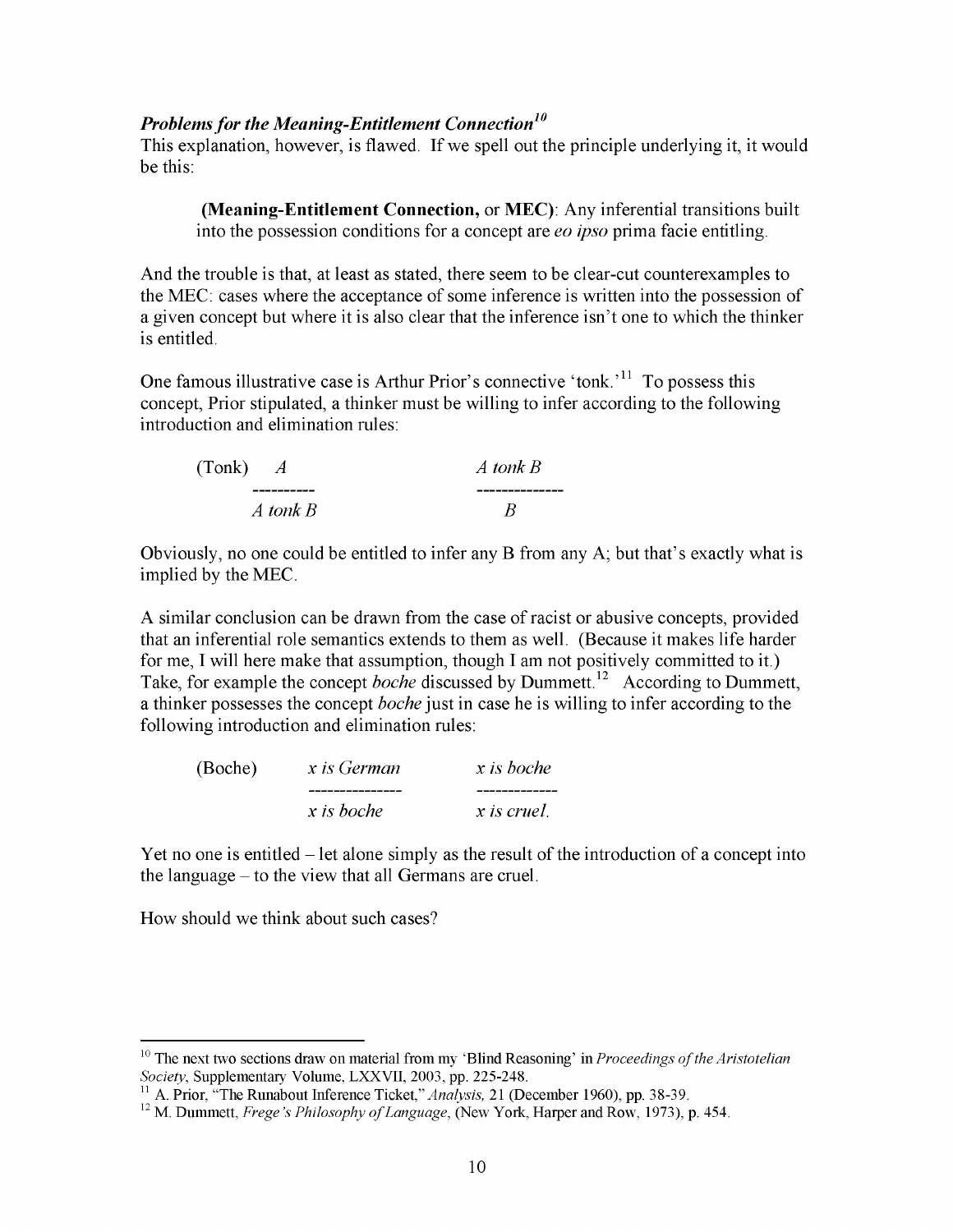### *Problems for the Meaning-Entitlement Connection<sup>10</sup>* Problems for the Meaning-Entitlement

This explanation, however, is flawed. If we spell out the principle underlying it, it would be this:

**(Meaning-Entitlement Connection,** or **MEC)**: Any inferential transitions built into the possession conditions for a concept are *eo ipso* prima facie entitling.

And the trouble is that, at least as stated, there seem to be clear-cut counterexamples to the MEC: cases where the acceptance of some inference is written into the possession of a given concept but where it is also clear that the inference isn't one to which the thinker is entitled.

One famous illustrative case is Arthur Prior's connective 'tonk.'<sup>11</sup> To possess this concept, Prior stipulated, a thinker must be willing to infer according to the following introduction and elimination rules:

| (Tonk)     | $A$ tonk $B$ |
|------------|--------------|
| ---------- | ---------    |
| A tonk B   |              |

Obviously, no one could be entitled to infer any B from any A; but that's exactly what is implied by the MEC.

A similar conclusion can be drawn from the case of racist or abusive concepts, provided that an inferential role semantics extends to them as well. (Because it makes life harder for me, I will here make that assumption, though I am not positively committed to it.) Take, for example the concept *boche* discussed by Dummett.<sup>12</sup> According to Dummett, a thinker possessesthe concept *boche* just in case he is willing to infer according to the following introduction and elimination rules:

| (Boche) | x is German | x is boche         |
|---------|-------------|--------------------|
|         |             |                    |
|         | x is boche  | <i>x</i> is cruel. |

Yet no one is entitled – let alone simply as the result of the introduction of a concept into the language -to the view that all Germans are cruel.

How should we think about such cases?

<sup>10</sup> The next two sections draw on material from my 'Blind Reasoning' in *Proceedings of the Aristotelian Society*, Supplementary Volume, LXXVII, 2003, pp. 225-248.

<sup>&</sup>lt;sup>11</sup> A. Prior, "The Runabout Inference Ticket," *Analysis*, 21 (December 1960), pp. 38-39.

<sup>12</sup> M. Dummett, *Frege's Philosophy of Language*, (New York, Harper and Row, 1973), p. 454.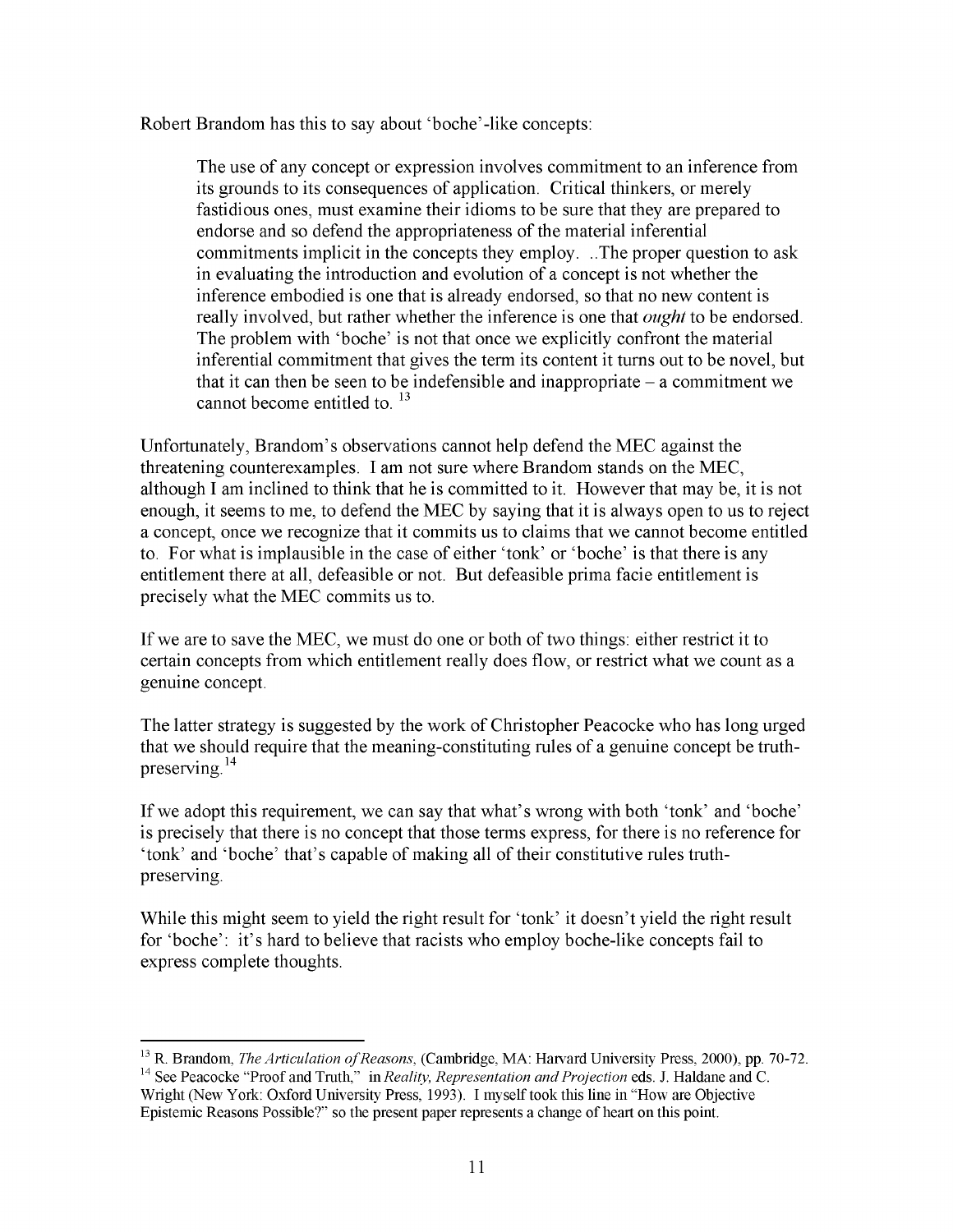Robert Brandom has this to say about 'boche'-like concepts:

The use of any concept or expression involves commitment to an inference from its grounds to its consequences of application. Critical thinkers, or merely fastidious ones, must examine their idioms to be sure that they are prepared to endorse and so defend the appropriateness of the material inferential commitments implicit in the concepts they employ. ..The proper question to ask in evaluating the introduction and evolution of a concept is not whether the inference embodied is one that is already endorsed, so that no new content is really involved, but rather whether the inference is one that *ought* to be endorsed. The problem with 'boche' is not that once we explicitly confront the material inferential commitment that gives the term its content it turns out to be novel, but that it can then be seen to be indefensible and inappropriate  $-$  a commitment we cannot become entitled to.  $13$ 

Unfortunately, Brandom's observations cannot help defend the MEC against the threatening counterexamples. I am not sure where Brandom stands on the MEC, although I am inclined to think that he is committed to it. However that may be, it is not enough, it seems to me, to defend the MEC by saying that it is always open to us to reject a concept, once we recognize that it commits us to claims that we cannot become entitled to. For what is implausible in the case of either 'tonk' or 'boche' is that there is any entitlement there at all, defeasible or not. But defeasible prima facie entitlement is precisely what the MEC commits us to.

If we are to save the MEC, we must do one or both of two things: either restrict it to certain concepts from which entitlement really does flow, or restrict what we count as a genuine concept.

The latter strategy is suggested by the work of Christopher Peacocke who has long urged that we should require that the meaning-constituting rules of a genuine concept be truthpreserving. $14$ 

If we adopt this requirement, we can say that what's wrong with both 'tonk' and 'boche' is precisely that there is no concept that those terms express, for there is no reference for 'tonk' and 'boche' that's capable of making all of their constitutive rules truthpreserving.

While this might seem to yield the right result for 'tonk' it doesn't yield the right result for 'boche': it's hard to believe that racists who employ boche-like concepts fail to express complete thoughts.

<sup>13</sup> R. Brandom, *The Articulation ofReasons*, (Cambridge, MA: Harvard University Press, 2000), pp. 70-72.

<sup>14</sup> See Peacocke "Proof and Truth," in *Reality, Representation andProjection* eds. J. Haldane and C. Wright (New York: Oxford University Press, 1993). I myself took this line in "How are Objective Epistemic Reasons Possible?" so the present paper represents a change of heart on this point.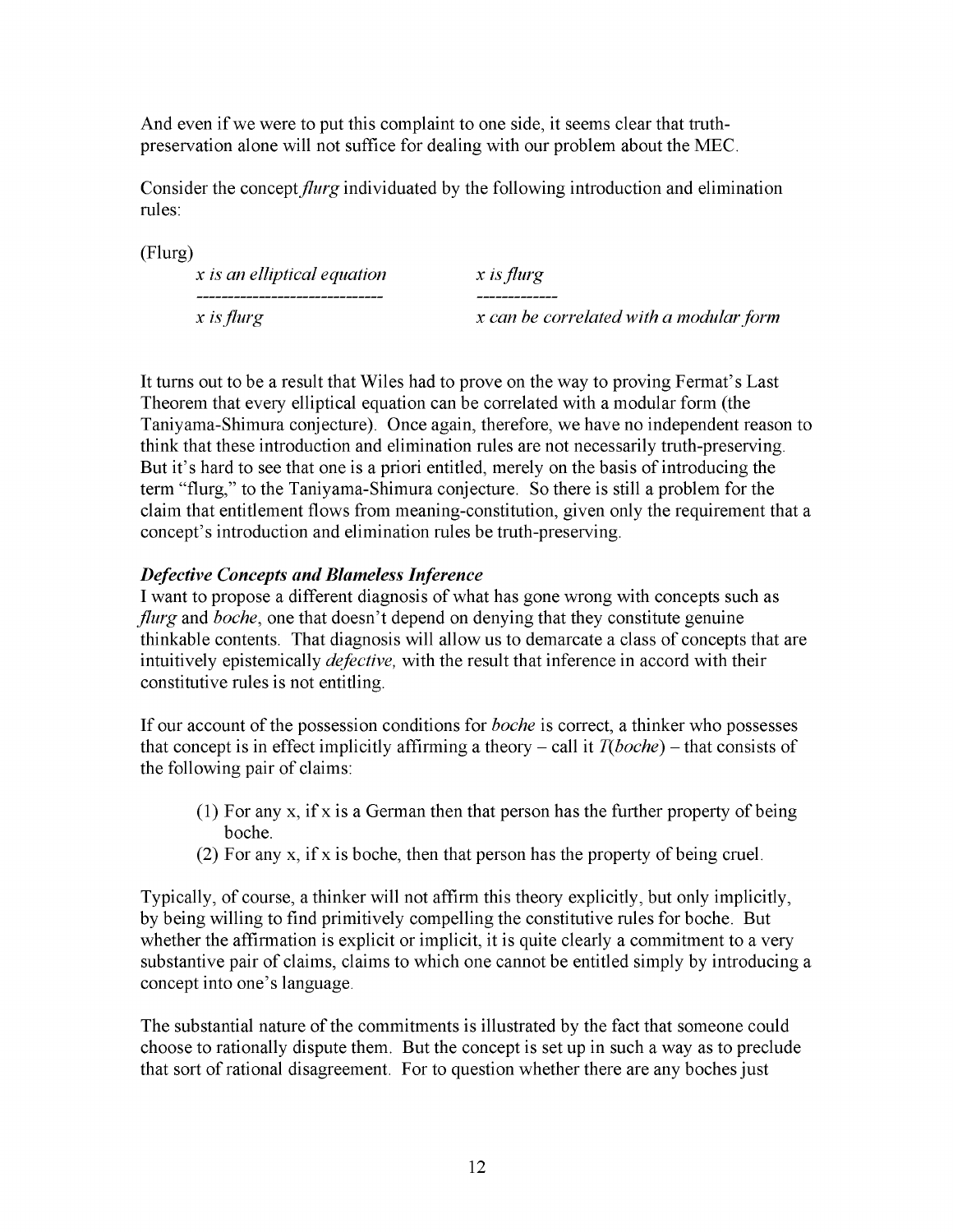And even if we were to put this complaint to one side, it seems clear that truthpreservation alone will not suffice for dealing with our problem about the MEC.

Consider the concept *flurg* individuated by the following introduction and elimination rules:

*x is flurg*

(Flurg)

*x is an elliptical equation x is flurg*

--------------

*x can be correlated with a modular form*

It turns out to be a result that Wiles had to prove on the way to proving Fermat's Last Theorem that every elliptical equation can be correlated with a modular form (the Taniyama-Shimura conjecture). Once again, therefore, we have no independent reason to think that these introduction and elimination rules are not necessarily truth-preserving. But it's hard to see that one is a priori entitled, merely on the basis of introducing the term "flurg," to the Taniyama-Shimura conjecture. So there is still a problem for the claim that entitlement flows from meaning-constitution, given only the requirement that a concept's introduction and elimination rules be truth-preserving.

## *Defective Concepts and Blameless Inference* Defective Concepts and Blameless

I want to propose a different diagnosis of what has gone wrong with concepts such as *flurg* and *boche*, one that doesn't depend on denying that they constitute genuine thinkable contents. That diagnosis will allow us to demarcate a class of concepts that are intuitively epistemically *defective*, with the result that inference in accord with their  $\frac{1}{2}$  constitutive rules is not entitling.  $\mu$ *urg* and *boche*, one that does constitutive rules is not entitiing.

If our account of the possession conditions for *boche* is correct, a thinker who possesses that concept is in effect implicitly affirming a theory  $-$  call it  $T(boche)$   $-$  that consists of the following pair of claims: that co

- (1) For any x, if x is a German then that person has the further property of being boche.
- (2) For any x, if x is boche, then that person has the property of being cruel.

Typically, of course, a thinker will not affirm this theory explicitly, but only implicitly, by being willing to find primitively compelling the constitutive rules for boche. But whether the affirmation is explicit or implicit, it is quite clearly a commitment to a very substantive pair of claims, claims to which one cannot be entitled simply by introducing a concept into one's language.

The substantial nature of the commitments is illustrated by the fact that someone could choose to rationally dispute them. But the concept is set up in such a way as to preclude that sort of rational disagreement. For to question whether there are any boches just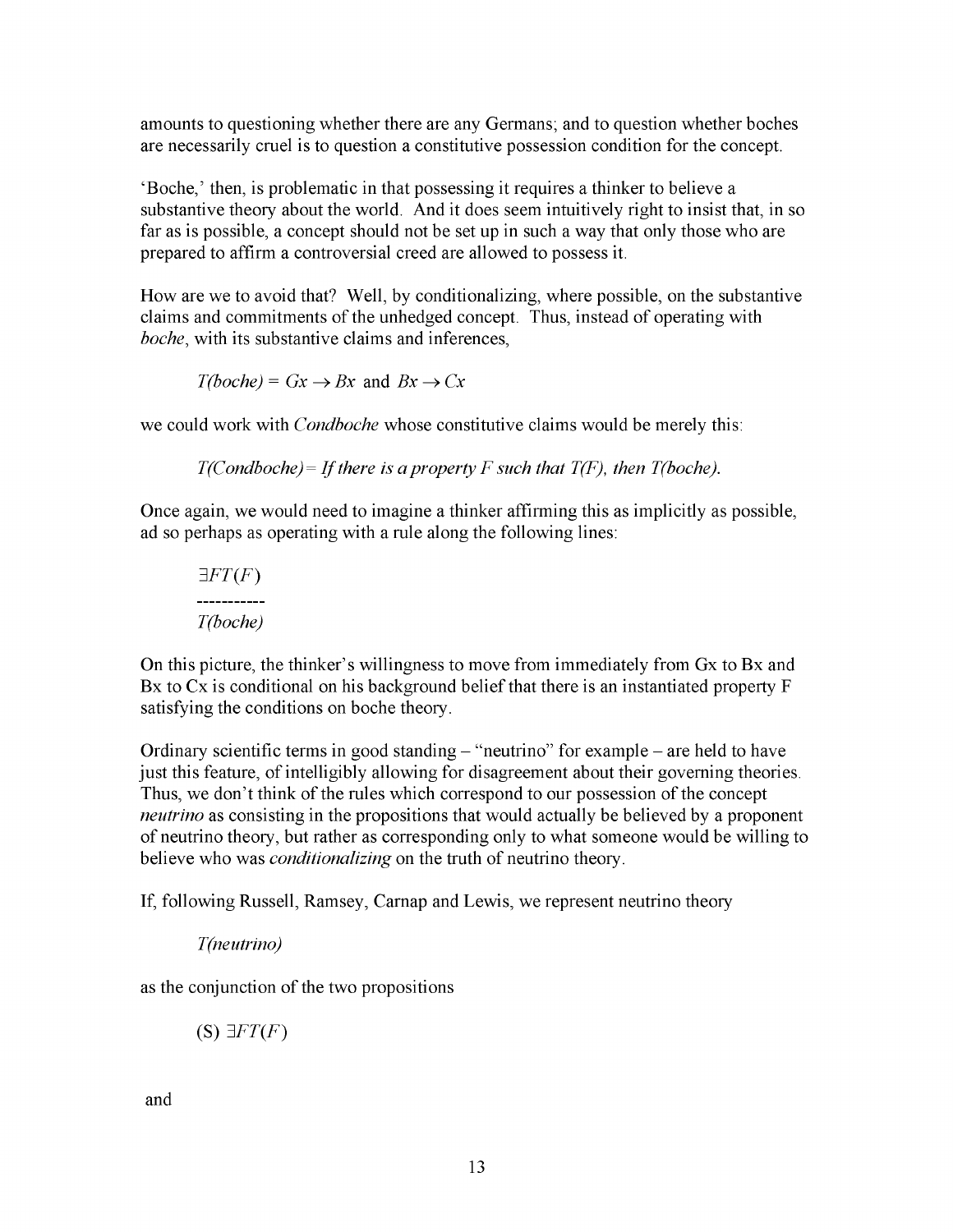amounts to questioning whether there are any Germans; and to question whether boches are necessarily cruel is to question a constitutive possession condition for the concept.

'Boche,' then, is problematic in that possessing it requires a thinker to believe a substantive theory about the world. And it does seem intuitively right to insist that, in so far as is possible, a concept should not be set up in such a way that only those who are prepared to affirm a controversial creed are allowed to possess it.

How are we to avoid that? Well, by conditionalizing, where possible, on the substantive claims and commitments of the unhedged concept. Thus, instead of operating with *boche*, with its substantive claims and inferences,

 $T(boche) = Gx \rightarrow Bx$  and  $Bx \rightarrow Cx$ 

we could work with *Condboche* whose constitutive claims would be merely this:

*T(Condboche)= If there is a property F such that T(F), then T(boche).*

Once again, we would need to imagine a thinker affirming this as implicitly as possible, ad so perhaps as operating with a rule along the following lines:

 $\exists FT(F)$ *T(boche)*

On this picture, the thinker's willingness to move from immediately from Gx to Bx and Bx to Cx is conditional on his background belief that there is an instantiated property F satisfying the conditions on boche theory.

Ordinary scientific terms in good standing  $-$  "neutrino" for example  $-$  are held to have just this feature, of intelligibly allowing for disagreement about their governing theories. Thus, we don't think of the rules which correspond to our possession of the concept *neutrino* as consisting in the propositions that would actually be believed by a proponent of neutrino theory, but rather as corresponding only to what someone would be willing to believe who was *conditionalizing* on the truth of neutrino theory.

If, following Russell, Ramsey, Carnap and Lewis, we represent neutrino theory

*T(neutrino)*

as the conjunction of the two propositions

 $(S) \exists FT(F)$ 

and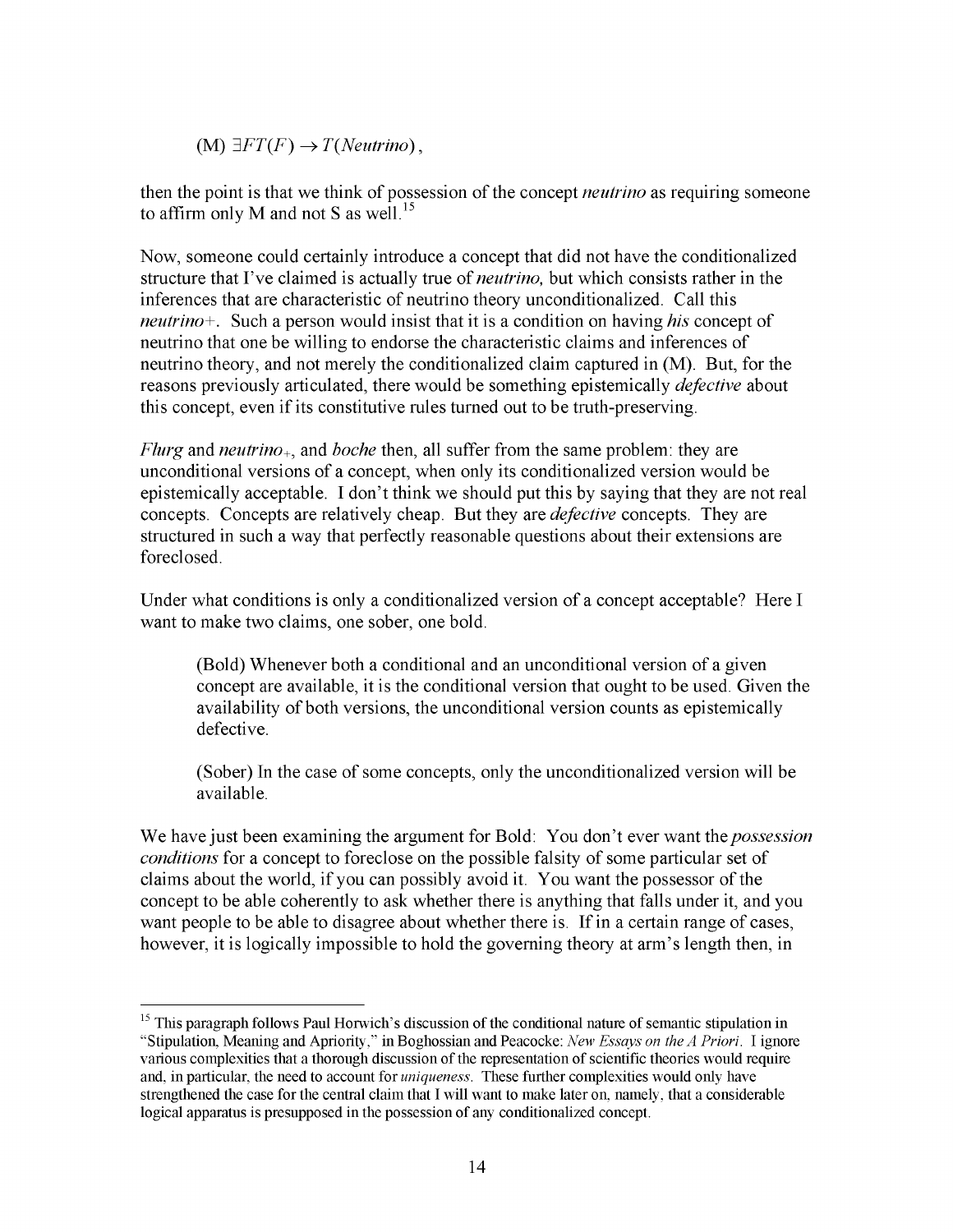$(M) \exists FT(F) \rightarrow T(N$ *eutrino*),

then the point is that we think of possession of the concept *neutrino* as requiring someone to affirm only M and not S as well.<sup>15</sup>

Now, someone could certainly introduce a concept that did not have the conditionalized structure that I've claimed is actually true of *neutrino,* but which consists rather in the inferences that are characteristic of neutrino theory unconditionalized. Call this *neutrino+.* Such a person would insist that it is a condition on having *his* concept of neutrino that one be willing to endorse the characteristic claims and inferences of neutrino theory, and not merely the conditionalized claim captured in (M). But, for the reasons previously articulated, there would be something epistemically *defective* about this concept, even if its constitutive rules turned out to be truth-preserving.

*Flurg* and *neutrino+*, and *boche* then, all suffer from the same problem: they are unconditional versions of a concept, when only its conditionalized version would be epistemically acceptable. I don't think we should put this by saying that they are not real concepts. Concepts are relatively cheap. But they are *defective* concepts. They are structured in such a way that perfectly reasonable questions about their extensions are foreclosed.

Under what conditions is only a conditionalized version of a concept acceptable? Here I want to make two claims, one sober, one bold.

(Bold) Whenever both a conditional and an unconditional version of a given concept are available, it is the conditional version that ought to be used. Given the availability of both versions, the unconditional version counts as epistemically defective.

(Sober) In the case of some concepts, only the unconditionalized version will be available.

We have just been examining the argument for Bold: You don't ever want the *possession conditions* for a concept to foreclose on the possible falsity of some particular set of claims about the world, if you can possibly avoid it. You want the possessor of the concept to be able coherently to ask whether there is anything that falls under it, and you want people to be able to disagree about whether there is. If in a certain range of cases, however, it is logically impossible to hold the governing theory at arm's length then, in

<sup>&</sup>lt;sup>15</sup> This paragraph follows Paul Horwich's discussion of the conditional nature of semantic stipulation in "Stipulation, Meaning and Apriority," in Boghossian and Peacocke: *New Essays on the A Priori*. I ignore various complexities that a thorough discussion of the representation of scientific theories would require and, in particular, the need to account for *uniqueness*. These further complexities would only have strengthened the case for the central claim that I will want to make later on, namely, that a considerable logical apparatus is presupposed in the possession of any conditionalized concept.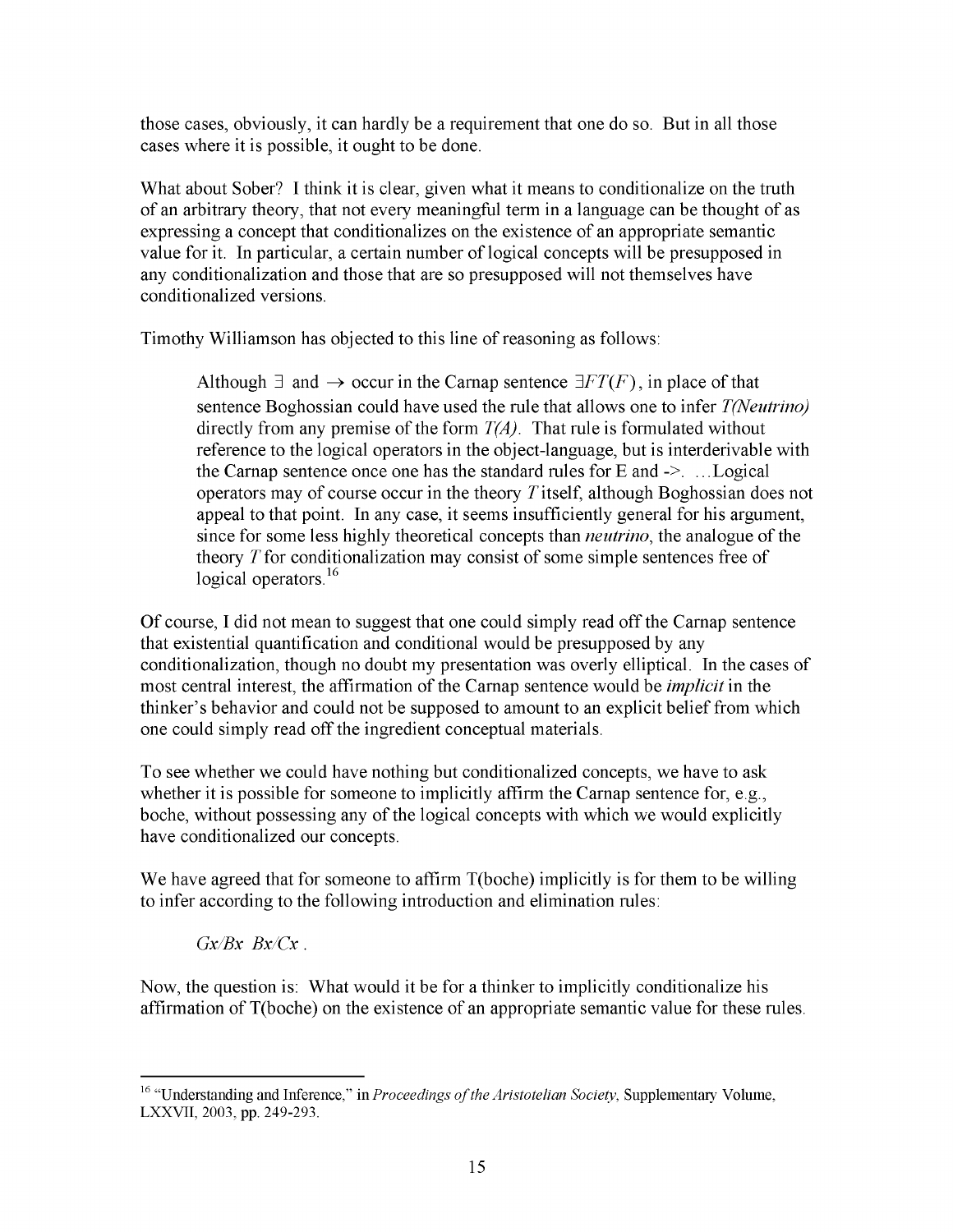those cases, obviously, it can hardly be a requirement that one do so. But in all those cases where it is possible, it ought to be done.

What about Sober? I think it is clear, given what it means to conditionalize on the truth of an arbitrary theory, that not every meaningful term in a language can be thought of as expressing a concept that conditionalizes on the existence of an appropriate semantic value for it. In particular, a certain number of logical concepts will be presupposed in any conditionalization and those that are so presupposed will not themselves have conditionalized versions.

Timothy Williamson has objected to this line of reasoning as follows:

Although  $\exists$  and  $\rightarrow$  occur in the Carnap sentence  $\exists FT(F)$ , in place of that sentence Boghossian could have used the rule that allows one to infer *T(Neutrino)* directly from any premise of the form *T(A)*. That rule is formulated without reference to the logical operators in the object-language, but is interderivable with the Carnap sentence once one has the standard rules for E and  $\geq$ ... Logical operators may of course occur in the theory *T*itself, although Boghossian does not appeal to that point. In any case, it seems insufficiently general for his argument, since for some less highly theoretical concepts than *neutrino*, the analogue of the theory *T* for conditionalization may consist of some simple sentences free of logical operators.<sup>16</sup>

Of course, I did not mean to suggest that one could simply read off the Carnap sentence that existential quantification and conditional would be presupposed by any conditionalization, though no doubt my presentation was overly elliptical. In the cases of most central interest, the affirmation of the Carnap sentence would be *implicit* in the thinker's behavior and could not be supposed to amount to an explicit belief from which one could simply read off the ingredient conceptual materials.

To see whether we could have nothing but conditionalized concepts, we have to ask whether it is possible for someone to implicitly affirm the Carnap sentence for, e.g., boche, without possessing any of the logical concepts with which we would explicitly have conditionalized our concepts.

We have agreed that for someone to affirm T(boche) implicitly is for them to be willing to infer according to the following introduction and elimination rules:

*Gx/Bx Bx/Cx* .

Now, the question is: What would it be for a thinker to implicitly conditionalize his affirmation of T(boche) on the existence of an appropriate semantic value for these rules.

<sup>16</sup>"Understanding and Inference," in *Proceedings of the Aristotelian Society*, Supplementary Volume, LXXVII, 2003, pp. 249-293.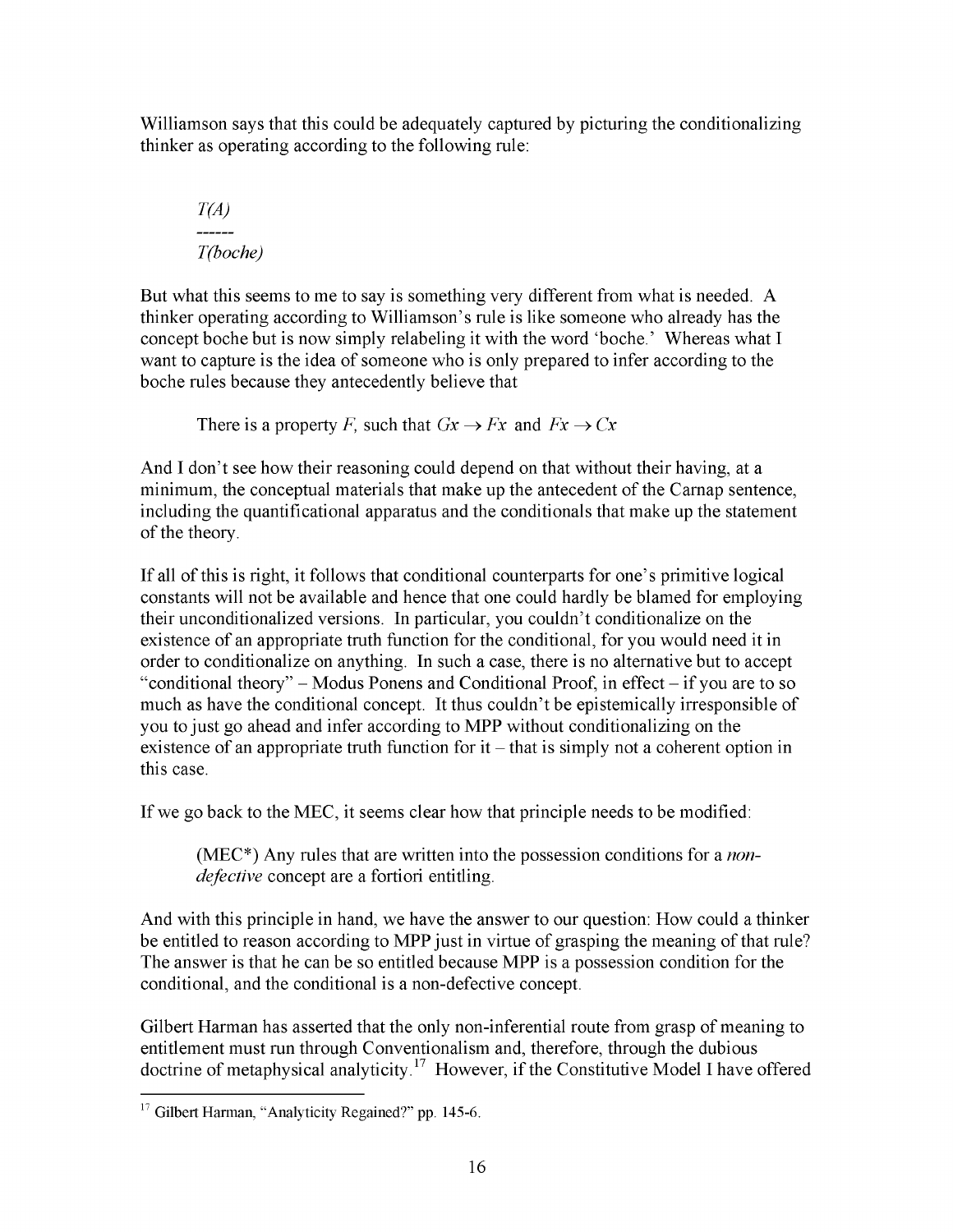Williamson says that this could be adequately captured by picturing the conditionalizing thinker as operating according to the following rule:

$$
T(A)
$$
  
-----  

$$
T(boche)
$$

But what this seems to me to say is something very different from what is needed. A thinker operating according to Williamson's rule is like someone who already has the concept boche but is now simply relabeling it with the word 'boche.' Whereas what I want to capture is the idea of someone who is only prepared to infer according to the boche rules because they antecedently believe that

There is a property *F*, such that  $Gx \rightarrow Fx$  and  $Fx \rightarrow Cx$ 

And I don't see how their reasoning could depend on that without their having, at a minimum, the conceptual materials that make up the antecedent of the Carnap sentence, including the quantificational apparatus and the conditionals that make up the statement of the theory.

If all of this is right, it follows that conditional counterparts for one's primitive logical constants will not be available and hence that one could hardly be blamed for employing their unconditionalized versions. In particular, you couldn't conditionalize on the existence of an appropriate truth function for the conditional, for you would need it in order to conditionalize on anything. In such a case, there is no alternative but to accept "conditional theory" – Modus Ponens and Conditional Proof, in effect – if you are to so much as have the conditional concept. It thus couldn't be epistemically irresponsible of you to just go ahead and infer according to MPP without conditionalizing on the existence of an appropriate truth function for  $it$  – that is simply not a coherent option in this case.

If we go back to the MEC, it seems clear how that principle needs to be modified:

(MEC\*) Any rules that are written into the possession conditions for a *nondefective* concept are a fortiori entitling.

And with this principle in hand, we have the answer to our question: How could a thinker be entitled to reason according to MPP just in virtue of grasping the meaning of that rule? The answer is that he can be so entitled because MPP is a possession condition for the conditional, and the conditional is a non-defective concept.

Gilbert Harman has asserted that the only non-inferential route from grasp of meaning to entitlement must run through Conventionalism and, therefore, through the dubious doctrine of metaphysical analyticity.<sup>17</sup> However, if the Constitutive Model I have offered

<sup>&</sup>lt;sup>17</sup> Gilbert Harman, "Analyticity Regained?" pp. 145-6.